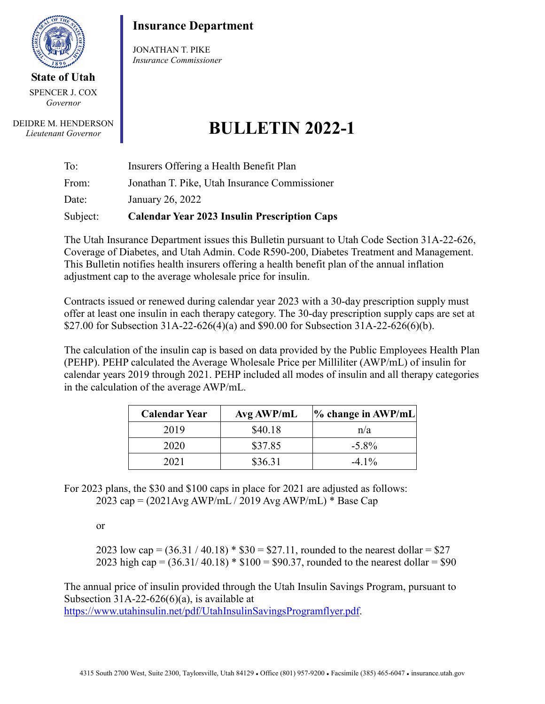

**State of Utah** SPENCER J. COX *Governor*

DEIDRE M. HENDERSON *Lieutenant Governor*

## **Insurance Department**

JONATHAN T. PIKE *Insurance Commissioner*

## **BULLETIN 2022-1**

| Subject: | <b>Calendar Year 2023 Insulin Prescription Caps</b> |
|----------|-----------------------------------------------------|
| Date:    | January 26, 2022                                    |
| From:    | Jonathan T. Pike, Utah Insurance Commissioner       |
| To:      | Insurers Offering a Health Benefit Plan             |

The Utah Insurance Department issues this Bulletin pursuant to Utah Code Section 31A-22-626, Coverage of Diabetes, and Utah Admin. Code R590-200, Diabetes Treatment and Management. This Bulletin notifies health insurers offering a health benefit plan of the annual inflation adjustment cap to the average wholesale price for insulin.

Contracts issued or renewed during calendar year 2023 with a 30-day prescription supply must offer at least one insulin in each therapy category. The 30-day prescription supply caps are set at \$27.00 for Subsection 31A-22-626(4)(a) and \$90.00 for Subsection 31A-22-626(6)(b).

The calculation of the insulin cap is based on data provided by the Public Employees Health Plan (PEHP). PEHP calculated the Average Wholesale Price per Milliliter (AWP/mL) of insulin for calendar years 2019 through 2021. PEHP included all modes of insulin and all therapy categories in the calculation of the average AWP/mL.

| <b>Calendar Year</b> | Avg AWP/mL | $\%$ change in AWP/mL |
|----------------------|------------|-----------------------|
| 2019                 | \$40.18    | n/a                   |
| 2020                 | \$37.85    | $-5.8\%$              |
| 2021                 | \$36.31    | $-4.1\%$              |

For 2023 plans, the \$30 and \$100 caps in place for 2021 are adjusted as follows: 2023 cap = (2021Avg AWP/mL / 2019 Avg AWP/mL) \* Base Cap

or

2023 low cap =  $(36.31 / 40.18)$  \*  $$30 = $27.11$ , rounded to the nearest dollar = \$27 2023 high cap =  $(36.31/40.18)$  \* \$100 = \$90.37, rounded to the nearest dollar = \$90

The annual price of insulin provided through the Utah Insulin Savings Program, pursuant to Subsection 31A-22-626(6)(a), is available at [https://www.utahinsulin.net/pdf/UtahInsulinSavingsProgramflyer.pdf.](https://www.utahinsulin.net/pdf/UtahInsulinSavingsProgramflyer.pdf)